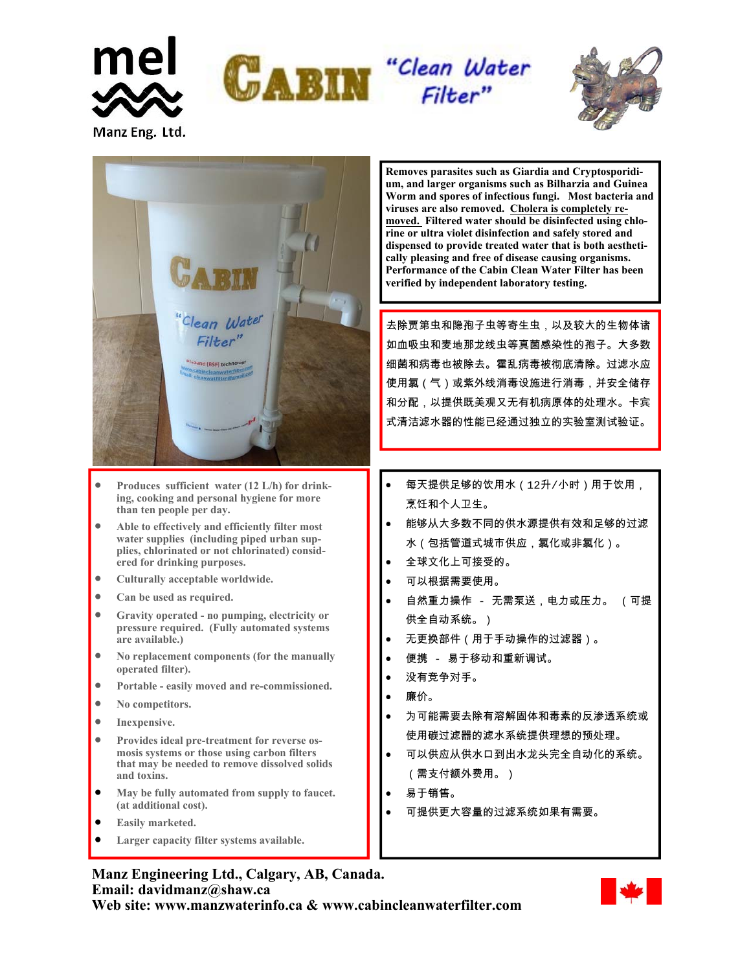





- **Produces sufficient water (12 L/h) for drinking, cooking and personal hygiene for more than ten people per day.**
- **Able to effectively and efficiently filter most water supplies (including piped urban supplies, chlorinated or not chlorinated) considered for drinking purposes.**
- **Culturally acceptable worldwide.**
- **Can be used as required.**
- **Gravity operated no pumping, electricity or pressure required. (Fully automated systems are available.)**
- **No replacement components (for the manually operated filter).**
- **Portable easily moved and re-commissioned.**
- **No competitors.**

Manz Eng. Ltd.

- **Inexpensive.**
- **Provides ideal pre-treatment for reverse osmosis systems or those using carbon filters that may be needed to remove dissolved solids and toxins.**
- **May be fully automated from supply to faucet. (at additional cost).**
- **Easily marketed.**
- **Larger capacity filter systems available.**

## **Manz Engineering Ltd., Calgary, AB, Canada. Email: davidmanz@shaw.ca**

**Web site: www.manzwaterinfo.ca & www.cabincleanwaterfilter.com** 

**Removes parasites such as Giardia and Cryptosporidium, and larger organisms such as Bilharzia and Guinea Worm and spores of infectious fungi. Most bacteria and viruses are also removed. Cholera is completely removed. Filtered water should be disinfected using chlorine or ultra violet disinfection and safely stored and dispensed to provide treated water that is both aesthetically pleasing and free of disease causing organisms. Performance of the Cabin Clean Water Filter has been verified by independent laboratory testing.** 

去除贾第虫和隐孢子虫等寄生虫,以及较大的生物体诸 如血吸虫和麦地那龙线虫等真菌感染性的孢子。大多数 细菌和病毒也被除去。霍乱病毒被彻底清除。过滤水应 使用氯(气)或紫外线消毒设施进行消毒,并安全储存 和分配,以提供既美观又无有机病原体的处理水。卡宾 式清洁滤水器的性能已经通过独立的实验室测试验证。

- 每天提供足够的饮用水(12升/小时)用于饮用, 烹饪和个人卫生。
- 能够从大多数不同的供水源提供有效和足够的过滤 水(包括管道式城市供应,氯化或非氯化)。
- 全球文化上可接受的。
- 可以根据需要使用。
- 自然重力操作 无需泵送,电力或压力。 (可提 供全自动系统。)
- 无更换部件(用于手动操作的过滤器)。
- 便携 易于移动和重新调试。
- 没有竞争对手。
- 廉价。
- 为可能需要去除有溶解固体和毒素的反渗透系统或 使用碳过滤器的滤水系统提供理想的预处理。
- 可以供应从供水口到出水龙头完全自动化的系统。 (需支付额外费用。)
- 易于销售。
- 可提供更大容量的过滤系统如果有需要。